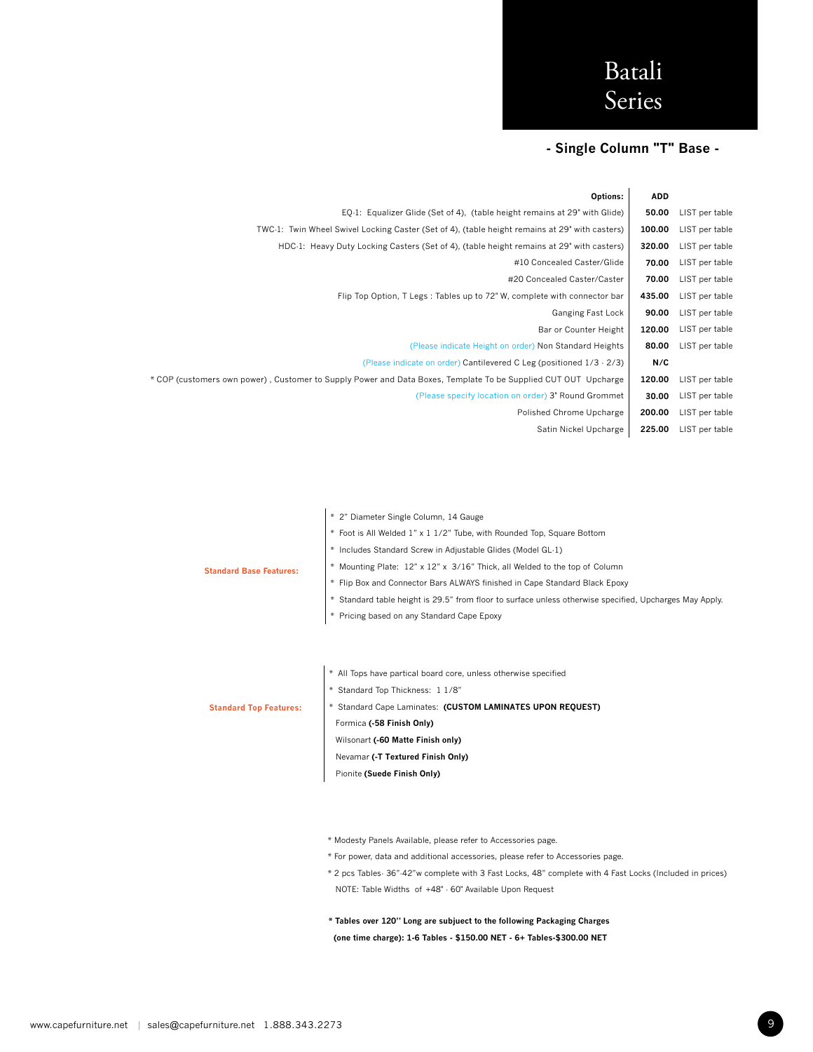### **- Single Column "T" Base -**

|                | <b>ADD</b> | Options:                                                                                                       |
|----------------|------------|----------------------------------------------------------------------------------------------------------------|
| LIST per table | 50.00      | EQ-1: Equalizer Glide (Set of 4), (table height remains at 29" with Glide)                                     |
| LIST per table | 100.00     | TWC-1: Twin Wheel Swivel Locking Caster (Set of 4), (table height remains at 29" with casters)                 |
| LIST per table | 320.00     | HDC-1: Heavy Duty Locking Casters (Set of 4), (table height remains at 29" with casters)                       |
| LIST per table | 70.00      | #10 Concealed Caster/Glide                                                                                     |
| LIST per table | 70.00      | #20 Concealed Caster/Caster                                                                                    |
| LIST per table | 435.00     | Flip Top Option, T Legs: Tables up to 72" W, complete with connector bar                                       |
| LIST per table | 90.00      | Ganging Fast Lock                                                                                              |
| LIST per table | 120.00     | Bar or Counter Height                                                                                          |
| LIST per table | 80.00      | (Please indicate Height on order) Non Standard Heights                                                         |
|                | N/C        | (Please indicate on order) Cantilevered C Leg (positioned 1/3 - 2/3)                                           |
| LIST per table | 120.00     | * COP (customers own power), Customer to Supply Power and Data Boxes, Template To be Supplied CUT OUT Upcharge |
| LIST per table | 30.00      | (Please specify location on order) 3" Round Grommet                                                            |
| LIST per table | 200.00     | Polished Chrome Upcharge                                                                                       |
| LIST per table | 225.00     | Satin Nickel Upcharge                                                                                          |
|                |            |                                                                                                                |

|                                | * 2" Diameter Single Column, 14 Gauge                                                                   |
|--------------------------------|---------------------------------------------------------------------------------------------------------|
|                                | * Foot is All Welded 1" x 1 1/2" Tube, with Rounded Top, Square Bottom                                  |
|                                | * Includes Standard Screw in Adjustable Glides (Model GL-1)                                             |
| <b>Standard Base Features:</b> | * Mounting Plate: 12" x 12" x 3/16" Thick, all Welded to the top of Column                              |
|                                | * Flip Box and Connector Bars ALWAYS finished in Cape Standard Black Epoxy                              |
|                                | * Standard table height is 29.5" from floor to surface unless otherwise specified, Upcharges May Apply. |
|                                | * Pricing based on any Standard Cape Epoxy                                                              |
|                                |                                                                                                         |
|                                |                                                                                                         |
|                                | * All Tops have partical board core, unless otherwise specified                                         |
|                                | * Standard Top Thickness: 1 1/8"                                                                        |
| <b>Standard Top Features:</b>  | * Standard Cape Laminates: (CUSTOM LAMINATES UPON REQUEST)                                              |
|                                | Formica (-58 Finish Only)                                                                               |
|                                | Wilsonart (-60 Matte Finish only)                                                                       |
|                                | Nevamar (-T Textured Finish Only)                                                                       |
|                                | Pionite (Suede Finish Only)                                                                             |
|                                |                                                                                                         |
|                                |                                                                                                         |
|                                |                                                                                                         |
|                                |                                                                                                         |

- Modesty Panels Available, please refer to Accessories page.
- \* For power, data and additional accessories, please refer to Accessories page.
- \* 2 pcs Tables- 36"-42"w complete with 3 Fast Locks, 48" complete with 4 Fast Locks (Included in prices) NOTE: Table Widths of +48" - 60" Available Upon Request
- **\* Tables over 120" Long are subjuect to the following Packaging Charges (one time charge): 1-6 Tables - \$150.00 NET - 6+ Tables-\$300.00 NET**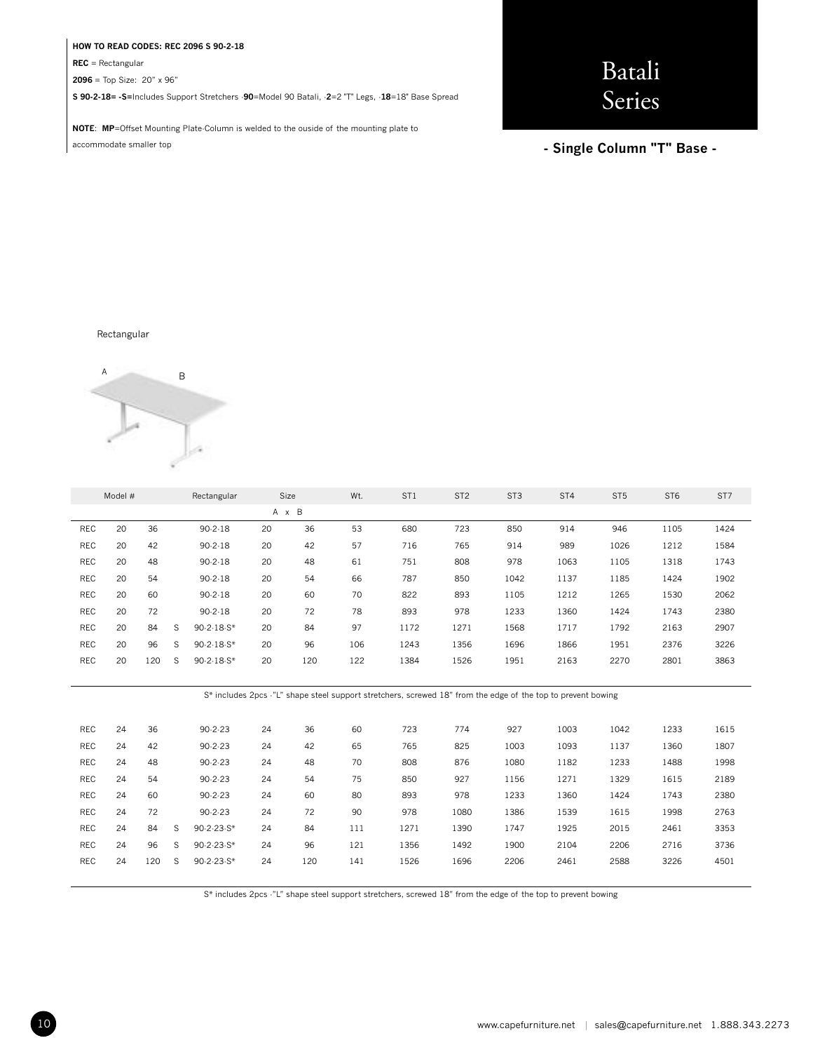#### **HOW TO READ CODES: REC 2096 S 90-2-18**

**REC** = Rectangular

**2096** = Top Size: 20" x 96"

**S 90-2-18= -S=**Includes Support Stretchers -**90**=Model 90 Batali, -**2**=2 "T" Legs, -**18**=18" Base Spread

**NOTE**: **MP**=Offset Mounting Plate-Column is welded to the ouside of the mounting plate to accommodate smaller top

# Batali Series

**- Single Column "T" Base -** 

Rectangular



|            | Model # |     |   | Rectangular   |    | Size  | Wt. | ST <sub>1</sub> | ST <sub>2</sub> | ST <sub>3</sub> | ST <sub>4</sub> | ST <sub>5</sub> | ST <sub>6</sub> | ST7  |
|------------|---------|-----|---|---------------|----|-------|-----|-----------------|-----------------|-----------------|-----------------|-----------------|-----------------|------|
|            |         |     |   |               |    | A x B |     |                 |                 |                 |                 |                 |                 |      |
| REC        | 20      | 36  |   | $90 - 2 - 18$ | 20 | 36    | 53  | 680             | 723             | 850             | 914             | 946             | 1105            | 1424 |
| <b>REC</b> | 20      | 42  |   | $90 - 2 - 18$ | 20 | 42    | 57  | 716             | 765             | 914             | 989             | 1026            | 1212            | 1584 |
| REC        | 20      | 48  |   | 90.2.18       | 20 | 48    | 61  | 751             | 808             | 978             | 1063            | 1105            | 1318            | 1743 |
| <b>REC</b> | 20      | 54  |   | $90 - 2 - 18$ | 20 | 54    | 66  | 787             | 850             | 1042            | 1137            | 1185            | 1424            | 1902 |
| <b>REC</b> | 20      | 60  |   | 90.2.18       | 20 | 60    | 70  | 822             | 893             | 1105            | 1212            | 1265            | 1530            | 2062 |
| <b>REC</b> | 20      | 72  |   | 90.2.18       | 20 | 72    | 78  | 893             | 978             | 1233            | 1360            | 1424            | 1743            | 2380 |
| <b>REC</b> | 20      | 84  | S | $90-2-18-S*$  | 20 | 84    | 97  | 1172            | 1271            | 1568            | 1717            | 1792            | 2163            | 2907 |
| REC        | 20      | 96  | S | $90-2-18-S*$  | 20 | 96    | 106 | 1243            | 1356            | 1696            | 1866            | 1951            | 2376            | 3226 |
| REC        | 20      | 120 | S | $90.2.18 S*$  | 20 | 120   | 122 | 1384            | 1526            | 1951            | 2163            | 2270            | 2801            | 3863 |
|            |         |     |   |               |    |       |     |                 |                 |                 |                 |                 |                 |      |

S\* includes 2pcs -"L" shape steel support stretchers, screwed 18" from the edge of the top to prevent bowing

| <b>REC</b> | 24 | 36  |    | 90.2.23       | 24 | 36  | 60  | 723  | 774  | 927  | 1003 | 1042 | 1233 | 1615 |
|------------|----|-----|----|---------------|----|-----|-----|------|------|------|------|------|------|------|
| <b>REC</b> | 24 | 42  |    | $90 - 2 - 23$ | 24 | 42  | 65  | 765  | 825  | 1003 | 1093 | 1137 | 1360 | 1807 |
| REC        | 24 | 48  |    | $90 - 2 - 23$ | 24 | 48  | 70  | 808  | 876  | 1080 | 1182 | 1233 | 1488 | 1998 |
| <b>REC</b> | 24 | 54  |    | 90.2.23       | 24 | 54  | 75  | 850  | 927  | 1156 | 1271 | 1329 | 1615 | 2189 |
| <b>REC</b> | 24 | 60  |    | 90.2.23       | 24 | 60  | 80  | 893  | 978  | 1233 | 1360 | 1424 | 1743 | 2380 |
| <b>REC</b> | 24 | 72  |    | $90 - 2 - 23$ | 24 | 72  | 90  | 978  | 1080 | 1386 | 1539 | 1615 | 1998 | 2763 |
| <b>REC</b> | 24 | 84  | S. | $90.2.23.5*$  | 24 | 84  | 111 | 1271 | 1390 | 1747 | 1925 | 2015 | 2461 | 3353 |
| <b>REC</b> | 24 | 96  | S. | $90.2.23.5*$  | 24 | 96  | 121 | 1356 | 1492 | 1900 | 2104 | 2206 | 2716 | 3736 |
| <b>REC</b> | 24 | 120 | S  | $90.2.23.5*$  | 24 | 120 | 141 | 1526 | 1696 | 2206 | 2461 | 2588 | 3226 | 4501 |
|            |    |     |    |               |    |     |     |      |      |      |      |      |      |      |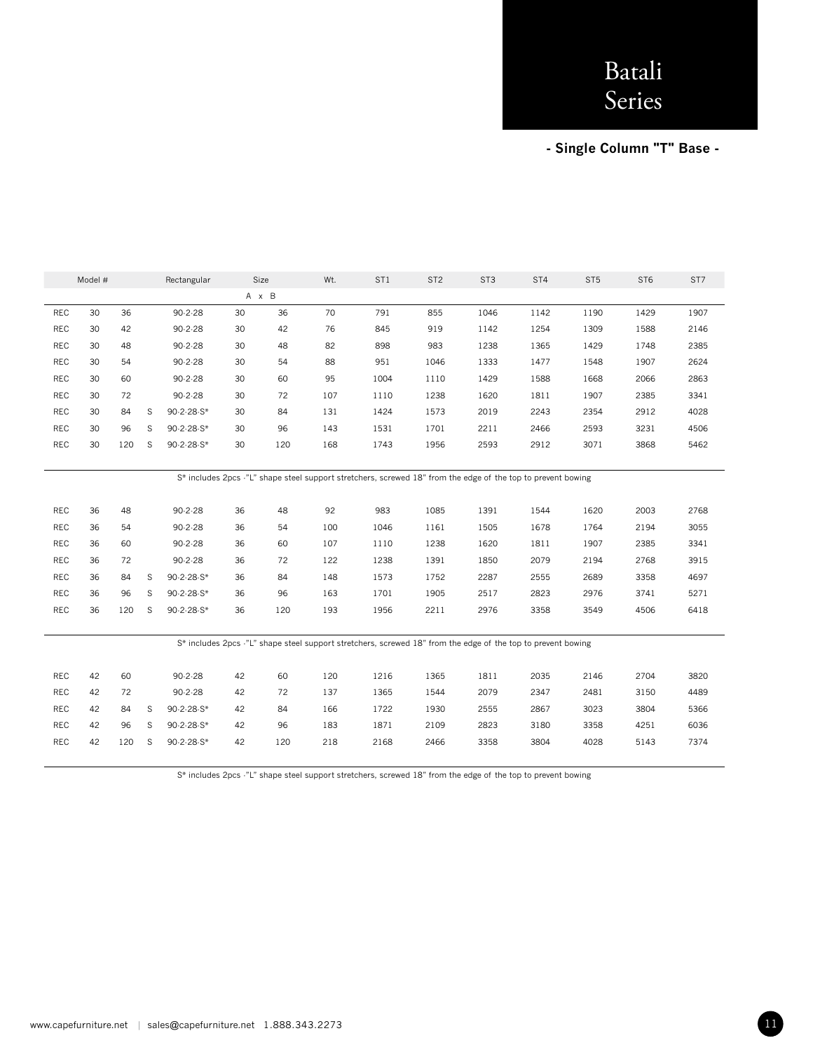**- Single Column "T" Base -** 

|            | Model # |     |   | Rectangular   |     | Size | Wt. | ST <sub>1</sub> | ST <sub>2</sub> | ST <sub>3</sub> | ST <sub>4</sub> | ST <sub>5</sub> | ST <sub>6</sub> | ST7  |
|------------|---------|-----|---|---------------|-----|------|-----|-----------------|-----------------|-----------------|-----------------|-----------------|-----------------|------|
|            |         |     |   |               | A x | B    |     |                 |                 |                 |                 |                 |                 |      |
| <b>REC</b> | 30      | 36  |   | $90 - 2 - 28$ | 30  | 36   | 70  | 791             | 855             | 1046            | 1142            | 1190            | 1429            | 1907 |
| <b>REC</b> | 30      | 42  |   | $90 - 2 - 28$ | 30  | 42   | 76  | 845             | 919             | 1142            | 1254            | 1309            | 1588            | 2146 |
| <b>REC</b> | 30      | 48  |   | $90 - 2 - 28$ | 30  | 48   | 82  | 898             | 983             | 1238            | 1365            | 1429            | 1748            | 2385 |
| <b>REC</b> | 30      | 54  |   | 90.2.28       | 30  | 54   | 88  | 951             | 1046            | 1333            | 1477            | 1548            | 1907            | 2624 |
| <b>REC</b> | 30      | 60  |   | $90 - 2 - 28$ | 30  | 60   | 95  | 1004            | 1110            | 1429            | 1588            | 1668            | 2066            | 2863 |
| <b>REC</b> | 30      | 72  |   | $90 - 2 - 28$ | 30  | 72   | 107 | 1110            | 1238            | 1620            | 1811            | 1907            | 2385            | 3341 |
| <b>REC</b> | 30      | 84  | S | $90.2.28.$ S* | 30  | 84   | 131 | 1424            | 1573            | 2019            | 2243            | 2354            | 2912            | 4028 |
| <b>REC</b> | 30      | 96  | S | 90-2-28-S*    | 30  | 96   | 143 | 1531            | 1701            | 2211            | 2466            | 2593            | 3231            | 4506 |
| <b>REC</b> | 30      | 120 | S | 90-2-28-S*    | 30  | 120  | 168 | 1743            | 1956            | 2593            | 2912            | 3071            | 3868            | 5462 |
|            |         |     |   |               |     |      |     |                 |                 |                 |                 |                 |                 |      |

S\* includes 2pcs -"L" shape steel support stretchers, screwed 18" from the edge of the top to prevent bowing

| <b>REC</b> | 36 | 48  |    | $90 - 2 - 28$ | 36 | 48  | 92  | 983  | 1085 | 1391 | 1544 | 1620 | 2003 | 2768 |
|------------|----|-----|----|---------------|----|-----|-----|------|------|------|------|------|------|------|
| <b>REC</b> | 36 | 54  |    | $90 - 2 - 28$ | 36 | 54  | 100 | 1046 | 1161 | 1505 | 1678 | 1764 | 2194 | 3055 |
| <b>REC</b> | 36 | 60  |    | $90 - 2 - 28$ | 36 | 60  | 107 | 1110 | 1238 | 1620 | 1811 | 1907 | 2385 | 3341 |
| <b>REC</b> | 36 | 72  |    | $90 - 2 - 28$ | 36 | 72  | 122 | 1238 | 1391 | 1850 | 2079 | 2194 | 2768 | 3915 |
| <b>REC</b> | 36 | 84  | S. | 90-2-28-S*    | 36 | 84  | 148 | 1573 | 1752 | 2287 | 2555 | 2689 | 3358 | 4697 |
| <b>REC</b> | 36 | 96  | S. | $90-2-28-S*$  | 36 | 96  | 163 | 1701 | 1905 | 2517 | 2823 | 2976 | 3741 | 5271 |
| <b>REC</b> | 36 | 120 | -S | 90-2-28-S*    | 36 | 120 | 193 | 1956 | 2211 | 2976 | 3358 | 3549 | 4506 | 6418 |
|            |    |     |    |               |    |     |     |      |      |      |      |      |      |      |

|  |  | S* includes 2pcs -"L" shape steel support stretchers, screwed 18" from the edge of the top to prevent bowing |  |  |
|--|--|--------------------------------------------------------------------------------------------------------------|--|--|
|--|--|--------------------------------------------------------------------------------------------------------------|--|--|

| <b>REC</b> | 42 | 60  |    | $90 - 2 - 28$ | 42 | 60  | 120 | 1216 | 1365 | 1811 | 2035 | 2146 | 2704 | 3820 |
|------------|----|-----|----|---------------|----|-----|-----|------|------|------|------|------|------|------|
| <b>REC</b> | 42 | 72  |    | $90 - 2 - 28$ | 42 | 72  | 137 | 1365 | 1544 | 2079 | 2347 | 2481 | 3150 | 4489 |
| <b>REC</b> | 42 | 84  | S. | 90-2-28-S*    | 42 | 84  | 166 | 1722 | 1930 | 2555 | 2867 | 3023 | 3804 | 5366 |
| <b>REC</b> | 42 | 96  | -S | 90-2-28-S*    | 42 | 96  | 183 | 1871 | 2109 | 2823 | 3180 | 3358 | 4251 | 6036 |
| <b>REC</b> | 42 | 120 | S. | 90-2-28-S*    | 42 | 120 | 218 | 2168 | 2466 | 3358 | 3804 | 4028 | 5143 | 7374 |
|            |    |     |    |               |    |     |     |      |      |      |      |      |      |      |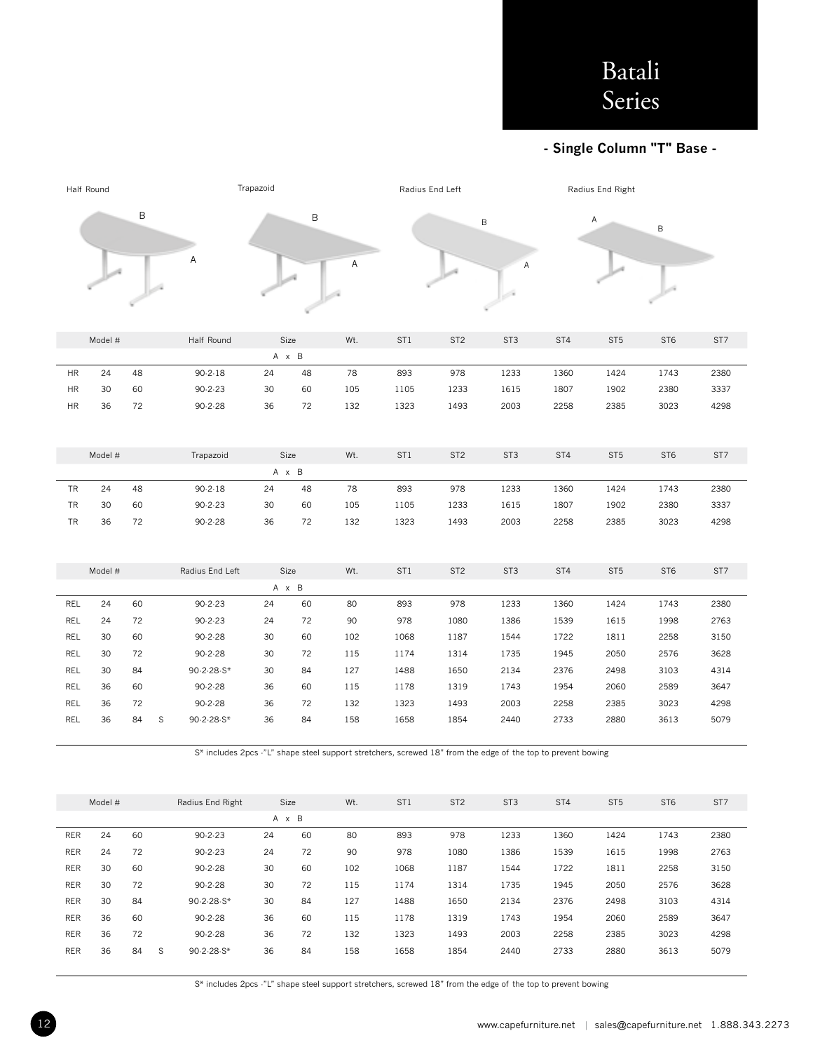### **- Single Column "T" Base -**

|            | Half Round |    |                                                                                                              |                  | Trapazoid |       |     | Radius End Left |                 |                 |                 | Radius End Right |                 |      |  |
|------------|------------|----|--------------------------------------------------------------------------------------------------------------|------------------|-----------|-------|-----|-----------------|-----------------|-----------------|-----------------|------------------|-----------------|------|--|
|            |            | B  |                                                                                                              |                  |           | B     |     |                 |                 | $\sf B$         |                 | Α                | B               |      |  |
|            |            |    |                                                                                                              | Α                |           |       | А   |                 |                 | А               |                 |                  |                 |      |  |
|            | Model #    |    |                                                                                                              | Half Round       |           | Size  | Wt. | ST <sub>1</sub> | ST <sub>2</sub> | ST <sub>3</sub> | ST4             | ST <sub>5</sub>  | ST <sub>6</sub> | ST7  |  |
|            |            |    |                                                                                                              |                  |           | A x B |     |                 |                 |                 |                 |                  |                 |      |  |
| <b>HR</b>  | 24         | 48 |                                                                                                              | $90 - 2 - 18$    | 24        | 48    | 78  | 893             | 978             | 1233            | 1360            | 1424             | 1743            | 2380 |  |
| <b>HR</b>  | 30         | 60 |                                                                                                              | $90 - 2 - 23$    | 30        | 60    | 105 | 1105            | 1233            | 1615            | 1807            | 1902             | 2380            | 3337 |  |
| <b>HR</b>  | 36         | 72 |                                                                                                              | $90 - 2 - 28$    | 36        | 72    | 132 | 1323            | 1493            | 2003            | 2258            | 2385             | 3023            | 4298 |  |
|            |            |    |                                                                                                              |                  |           |       |     |                 |                 |                 |                 |                  |                 |      |  |
|            | Model #    |    |                                                                                                              | Trapazoid        |           | Size  | Wt. | ST1             | ST <sub>2</sub> | ST <sub>3</sub> | ST4             | ST <sub>5</sub>  | ST <sub>6</sub> | ST7  |  |
|            |            |    |                                                                                                              |                  |           | A x B |     |                 |                 |                 |                 |                  |                 |      |  |
| TR         | 24         | 48 |                                                                                                              | $90 - 2 - 18$    | 24        | 48    | 78  | 893             | 978             | 1233            | 1360            | 1424             | 1743            | 2380 |  |
| <b>TR</b>  | 30         | 60 |                                                                                                              | $90 - 2 - 23$    | 30        | 60    | 105 | 1105            | 1233            | 1615            | 1807            | 1902             | 2380            | 3337 |  |
| TR         | 36         | 72 |                                                                                                              | $90 - 2 - 28$    | 36        | 72    | 132 | 1323            | 1493            | 2003            | 2258            | 2385             | 3023            | 4298 |  |
|            |            |    |                                                                                                              |                  |           |       |     |                 |                 |                 |                 |                  |                 |      |  |
|            | Model #    |    |                                                                                                              | Radius End Left  |           | Size  | Wt. | ST <sub>1</sub> | ST <sub>2</sub> | ST <sub>3</sub> | ST4             | ST <sub>5</sub>  | ST <sub>6</sub> | ST7  |  |
|            |            |    |                                                                                                              |                  |           | A x B |     |                 |                 |                 |                 |                  |                 |      |  |
| REL        | 24         | 60 |                                                                                                              | $90 - 2 - 23$    | 24        | 60    | 80  | 893             | 978             | 1233            | 1360            | 1424             | 1743            | 2380 |  |
| REL        | 24         | 72 |                                                                                                              | $90 - 2 - 23$    | 24        | 72    | 90  | 978             | 1080            | 1386            | 1539            | 1615             | 1998            | 2763 |  |
| REL        | 30         | 60 |                                                                                                              | $90 - 2 - 28$    | 30        | 60    | 102 | 1068            | 1187            | 1544            | 1722            | 1811             | 2258            | 3150 |  |
| REL        | 30         | 72 |                                                                                                              | $90 - 2 - 28$    | 30        | 72    | 115 | 1174            | 1314            | 1735            | 1945            | 2050             | 2576            | 3628 |  |
| REL        | 30         | 84 |                                                                                                              | 90-2-28-S*       | 30        | 84    | 127 | 1488            | 1650            | 2134            | 2376            | 2498             | 3103            | 4314 |  |
| REL        | 36         | 60 |                                                                                                              | $90 - 2 - 28$    | 36        | 60    | 115 | 1178            | 1319            | 1743            | 1954            | 2060             | 2589            | 3647 |  |
| REL        | 36         | 72 |                                                                                                              | 90.2.28          | 36        | 72    | 132 | 1323            | 1493            | 2003            | 2258            | 2385             | 3023            | 4298 |  |
| REL        | 36         | 84 | $\mathbb S$                                                                                                  | 90-2-28-S*       | 36        | 84    | 158 | 1658            | 1854            | 2440            | 2733            | 2880             | 3613            | 5079 |  |
|            |            |    | S* includes 2pcs -"L" shape steel support stretchers, screwed 18" from the edge of the top to prevent bowing |                  |           |       |     |                 |                 |                 |                 |                  |                 |      |  |
|            | Model #    |    |                                                                                                              | Radius End Right |           | Size  | Wt. | ST <sub>1</sub> | ST <sub>2</sub> | ST <sub>3</sub> | ST <sub>4</sub> | ST <sub>5</sub>  | ST <sub>6</sub> | ST7  |  |
|            |            |    |                                                                                                              |                  |           | A x B |     |                 |                 |                 |                 |                  |                 |      |  |
| <b>RER</b> | 24         | 60 |                                                                                                              | $90 - 2 - 23$    | 24        | 60    | 80  | 893             | 978             | 1233            | 1360            | 1424             | 1743            | 2380 |  |

RER 30 72 90-2-28 30 72 115 1174 1314 1735 1945 2050 2576 3628 RER 30 84 90-2-28-S\* 30 84 127 1488 1650 2134 2376 2498 3103 4314 RER 36 60 90-2-28 36 60 115 1178 1319 1743 1954 2060 2589 3647 RER 36 72 90-2-28 36 72 132 1323 1493 2003 2258 2385 3023 4298 RER 36 84 S 90-2-28-S\* 36 84 158 1658 1854 2440 2733 2880 3613 5079

RER 24 72 90-2-23 24 72 90 978 1080 1386 1539 1615 1998 2763 RER 30 60 90-2-28 30 60 102 1068 1187 1544 1722 1811 2258 3150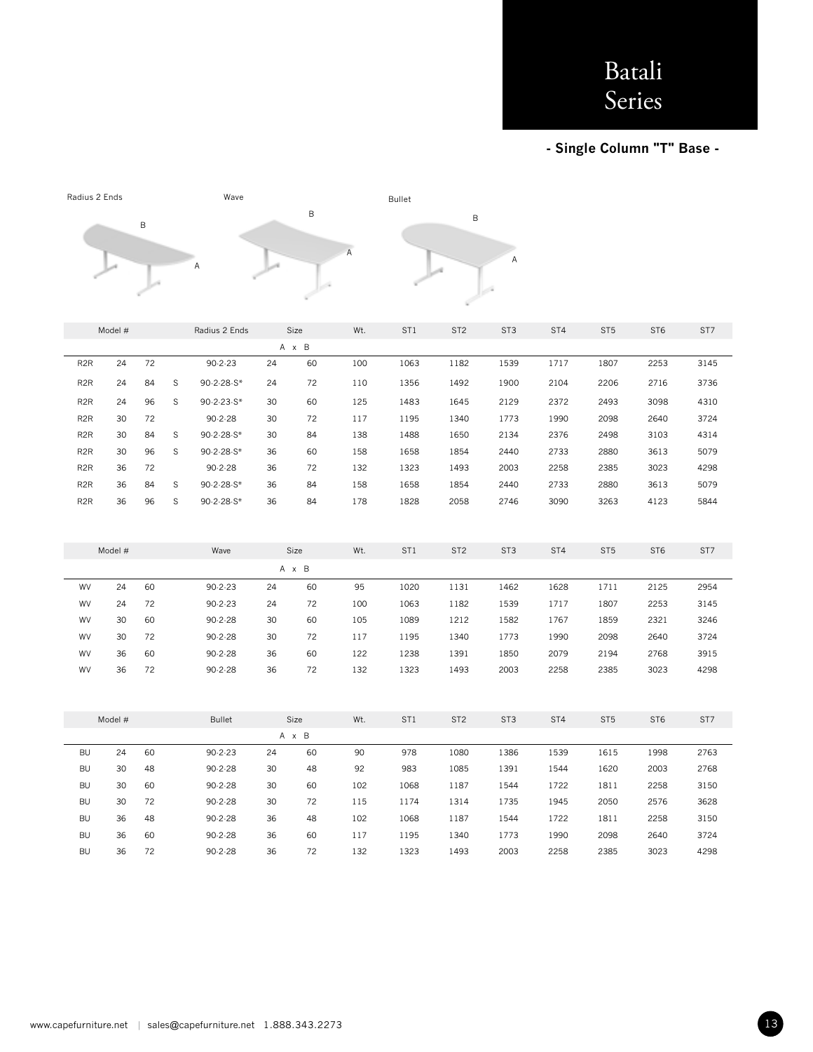**- Single Column "T" Base -** 

| Radius 2 Ends    |         | Wave |             |               |    |       | <b>Bullet</b> |                 |                 |                 |      |                 |                 |      |
|------------------|---------|------|-------------|---------------|----|-------|---------------|-----------------|-----------------|-----------------|------|-----------------|-----------------|------|
|                  |         |      |             |               |    | B     |               |                 | B               |                 |      |                 |                 |      |
|                  |         | B    |             |               |    |       |               |                 |                 |                 |      |                 |                 |      |
|                  |         |      |             |               |    |       | A             |                 |                 |                 |      |                 |                 |      |
|                  |         |      |             | Α             |    |       |               |                 |                 | A               |      |                 |                 |      |
|                  |         |      |             |               |    |       |               |                 |                 |                 |      |                 |                 |      |
|                  |         |      |             |               |    |       |               |                 |                 |                 |      |                 |                 |      |
|                  |         |      |             |               |    |       |               |                 |                 |                 |      |                 |                 |      |
|                  | Model # |      |             | Radius 2 Ends |    | Size  | Wt.           | ST <sub>1</sub> | ST <sub>2</sub> | ST <sub>3</sub> | ST4  | ST <sub>5</sub> | ST <sub>6</sub> | ST7  |
|                  |         |      |             |               |    | A x B |               |                 |                 |                 |      |                 |                 |      |
| R <sub>2</sub> R | 24      | 72   |             | $90 - 2 - 23$ | 24 | 60    | 100           | 1063            | 1182            | 1539            | 1717 | 1807            | 2253            | 3145 |
| R <sub>2</sub> R | 24      | 84   | S           | 90-2-28-S*    | 24 | 72    | 110           | 1356            | 1492            | 1900            | 2104 | 2206            | 2716            | 3736 |
| R <sub>2</sub> R | 24      | 96   | $\mathbb S$ | 90-2-23-S*    | 30 | 60    | 125           | 1483            | 1645            | 2129            | 2372 | 2493            | 3098            | 4310 |
| R <sub>2</sub> R | 30      | 72   |             | $90 - 2 - 28$ | 30 | 72    | 117           | 1195            | 1340            | 1773            | 1990 | 2098            | 2640            | 3724 |
| R <sub>2</sub> R | 30      | 84   | $\mathsf S$ | 90-2-28-S*    | 30 | 84    | 138           | 1488            | 1650            | 2134            | 2376 | 2498            | 3103            | 4314 |
| R <sub>2</sub> R | 30      | 96   | S           | 90-2-28-S*    | 36 | 60    | 158           | 1658            | 1854            | 2440            | 2733 | 2880            | 3613            | 5079 |
| R <sub>2</sub> R | 36      | 72   |             | $90 - 2 - 28$ | 36 | 72    | 132           | 1323            | 1493            | 2003            | 2258 | 2385            | 3023            | 4298 |
| R <sub>2</sub> R | 36      | 84   | $\mathsf S$ | 90-2-28-S*    | 36 | 84    | 158           | 1658            | 1854            | 2440            | 2733 | 2880            | 3613            | 5079 |
| R <sub>2</sub> R | 36      | 96   | S           | 90-2-28-S*    | 36 | 84    | 178           | 1828            | 2058            | 2746            | 3090 | 3263            | 4123            | 5844 |
|                  |         |      |             |               |    |       |               |                 |                 |                 |      |                 |                 |      |
|                  |         |      |             |               |    |       |               |                 |                 |                 |      |                 |                 |      |
|                  | Model # |      |             | Wave          |    | Size  | Wt.           | ST <sub>1</sub> | ST <sub>2</sub> | ST <sub>3</sub> | ST4  | ST <sub>5</sub> | ST <sub>6</sub> | ST7  |
|                  |         |      |             |               |    | A x B |               |                 |                 |                 |      |                 |                 |      |
| WV               | 24      | 60   |             | $90 - 2 - 23$ | 24 | 60    | 95            | 1020            | 1131            | 1462            | 1628 | 1711            | 2125            | 2954 |
| WV               | 24      | 72   |             | $90 - 2 - 23$ | 24 | 72    | 100           | 1063            | 1182            | 1539            | 1717 | 1807            | 2253            | 3145 |
| WV               | 30      | 60   |             | $90 - 2 - 28$ | 30 | 60    | 105           | 1089            | 1212            | 1582            | 1767 | 1859            | 2321            | 3246 |
| WV               | 30      | 72   |             | $90 - 2 - 28$ | 30 | 72    | 117           | 1195            | 1340            | 1773            | 1990 | 2098            | 2640            | 3724 |
| WV               | 36      | 60   |             | $90.2 - 28$   | 36 | 60    | 122           | 1238            | 1391            | 1850            | 2079 | 2194            | 2768            | 3915 |
| WV               | 36      | 72   |             | $90 - 2 - 28$ | 36 | 72    | 132           | 1323            | 1493            | 2003            | 2258 | 2385            | 3023            | 4298 |
|                  |         |      |             |               |    |       |               |                 |                 |                 |      |                 |                 |      |
|                  |         |      |             |               |    |       |               |                 |                 |                 |      |                 |                 |      |
|                  | Model # |      |             | <b>Bullet</b> |    | Size  | Wt.           | ST <sub>1</sub> | ST <sub>2</sub> | ST <sub>3</sub> | ST4  | ST <sub>5</sub> | ST <sub>6</sub> | ST7  |
|                  |         |      |             |               |    | A x B |               |                 |                 |                 |      |                 |                 |      |
| <b>BU</b>        | 24      | 60   |             | $90 - 2 - 23$ | 24 | 60    | 90            | 978             | 1080            | 1386            | 1539 | 1615            | 1998            | 2763 |
| <b>BU</b>        | 30      | 48   |             | $90 - 2 - 28$ | 30 | 48    | 92            | 983             | 1085            | 1391            | 1544 | 1620            | 2003            | 2768 |
| <b>BU</b>        | 30      | 60   |             | $90 - 2 - 28$ | 30 | 60    | 102           | 1068            | 1187            | 1544            | 1722 | 1811            | 2258            | 3150 |
| <b>BU</b>        | 30      | 72   |             | $90 - 2 - 28$ | 30 | 72    | 115           | 1174            | 1314            | 1735            | 1945 | 2050            | 2576            | 3628 |
| <b>BU</b>        | 36      | 48   |             | $90 - 2 - 28$ | 36 | 48    | 102           | 1068            | 1187            | 1544            | 1722 | 1811            | 2258            | 3150 |
| <b>BU</b>        | 36      | 60   |             | $90 - 2 - 28$ | 36 | 60    | 117           | 1195            | 1340            | 1773            | 1990 | 2098            | 2640            | 3724 |
| <b>BU</b>        | 36      | 72   |             | $90 - 2 - 28$ | 36 | 72    | 132           | 1323            | 1493            | 2003            | 2258 | 2385            | 3023            | 4298 |
|                  |         |      |             |               |    |       |               |                 |                 |                 |      |                 |                 |      |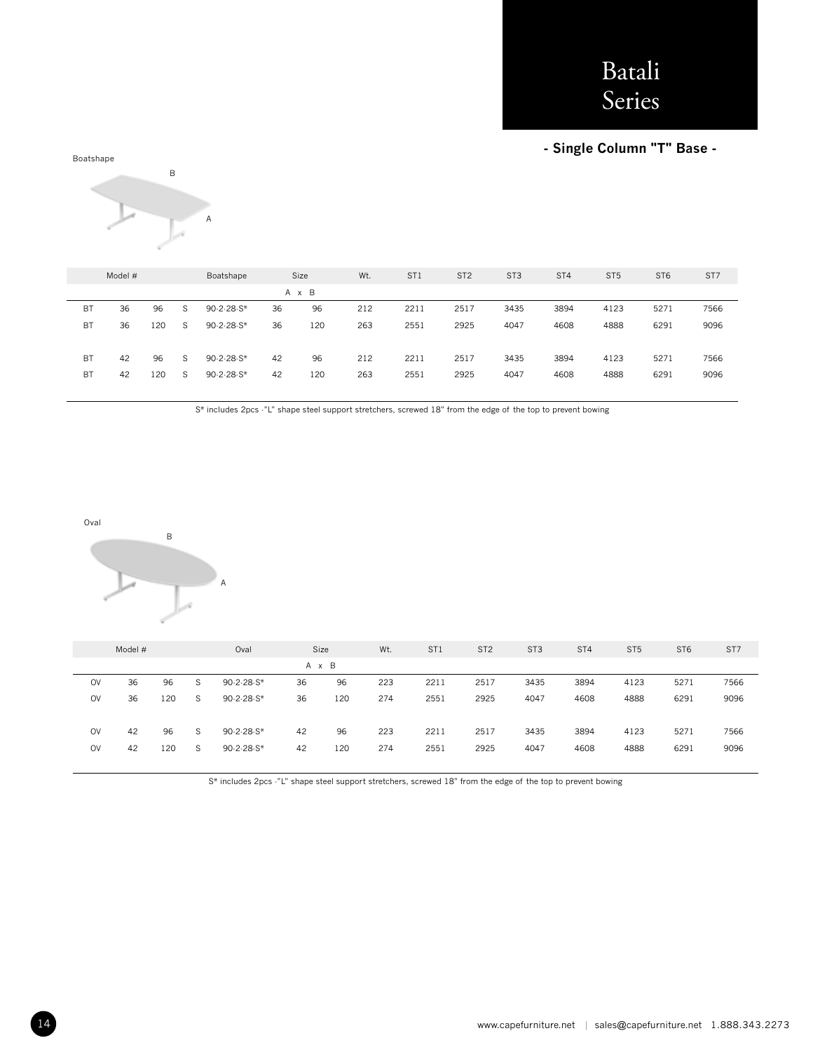### **- Single Column "T" Base -**





|           | Model # |     |   | Boatshape    |    | Size  | Wt. | ST <sub>1</sub> | ST <sub>2</sub> | ST <sub>3</sub> | ST <sub>4</sub> | ST <sub>5</sub> | ST <sub>6</sub> | ST <sub>7</sub> |
|-----------|---------|-----|---|--------------|----|-------|-----|-----------------|-----------------|-----------------|-----------------|-----------------|-----------------|-----------------|
|           |         |     |   |              |    | A x B |     |                 |                 |                 |                 |                 |                 |                 |
| <b>BT</b> | 36      | 96  | S | 90-2-28-S*   | 36 | 96    | 212 | 2211            | 2517            | 3435            | 3894            | 4123            | 5271            | 7566            |
| BT        | 36      | 120 | S | 90-2-28-S*   | 36 | 120   | 263 | 2551            | 2925            | 4047            | 4608            | 4888            | 6291            | 9096            |
|           |         |     |   |              |    |       |     |                 |                 |                 |                 |                 |                 |                 |
| <b>BT</b> | 42      | 96  | S | 90-2-28-S*   | 42 | 96    | 212 | 2211            | 2517            | 3435            | 3894            | 4123            | 5271            | 7566            |
| BT        | 42      | 120 | S | $90.2.28 S*$ | 42 | 120   | 263 | 2551            | 2925            | 4047            | 4608            | 4888            | 6291            | 9096            |
|           |         |     |   |              |    |       |     |                 |                 |                 |                 |                 |                 |                 |

S\* includes 2pcs -"L" shape steel support stretchers, screwed 18" from the edge of the top to prevent bowing

Oval



|           | Model # |     |   | Oval         |    | Size  | Wt. | ST <sub>1</sub> | ST <sub>2</sub> | ST <sub>3</sub> | ST <sub>4</sub> | ST <sub>5</sub> | ST <sub>6</sub> | ST7  |
|-----------|---------|-----|---|--------------|----|-------|-----|-----------------|-----------------|-----------------|-----------------|-----------------|-----------------|------|
|           |         |     |   |              |    | A x B |     |                 |                 |                 |                 |                 |                 |      |
| <b>OV</b> | 36      | 96  | S | $90.2.28 S*$ | 36 | 96    | 223 | 2211            | 2517            | 3435            | 3894            | 4123            | 5271            | 7566 |
| <b>OV</b> | 36      | 120 | S | $90.2.28 S*$ | 36 | 120   | 274 | 2551            | 2925            | 4047            | 4608            | 4888            | 6291            | 9096 |
|           |         |     |   |              |    |       |     |                 |                 |                 |                 |                 |                 |      |
| <b>OV</b> | 42      | 96  | S | 90-2-28-S*   | 42 | 96    | 223 | 2211            | 2517            | 3435            | 3894            | 4123            | 5271            | 7566 |
| <b>OV</b> | 42      | 120 | S | $90.2.28 S*$ | 42 | 120   | 274 | 2551            | 2925            | 4047            | 4608            | 4888            | 6291            | 9096 |
|           |         |     |   |              |    |       |     |                 |                 |                 |                 |                 |                 |      |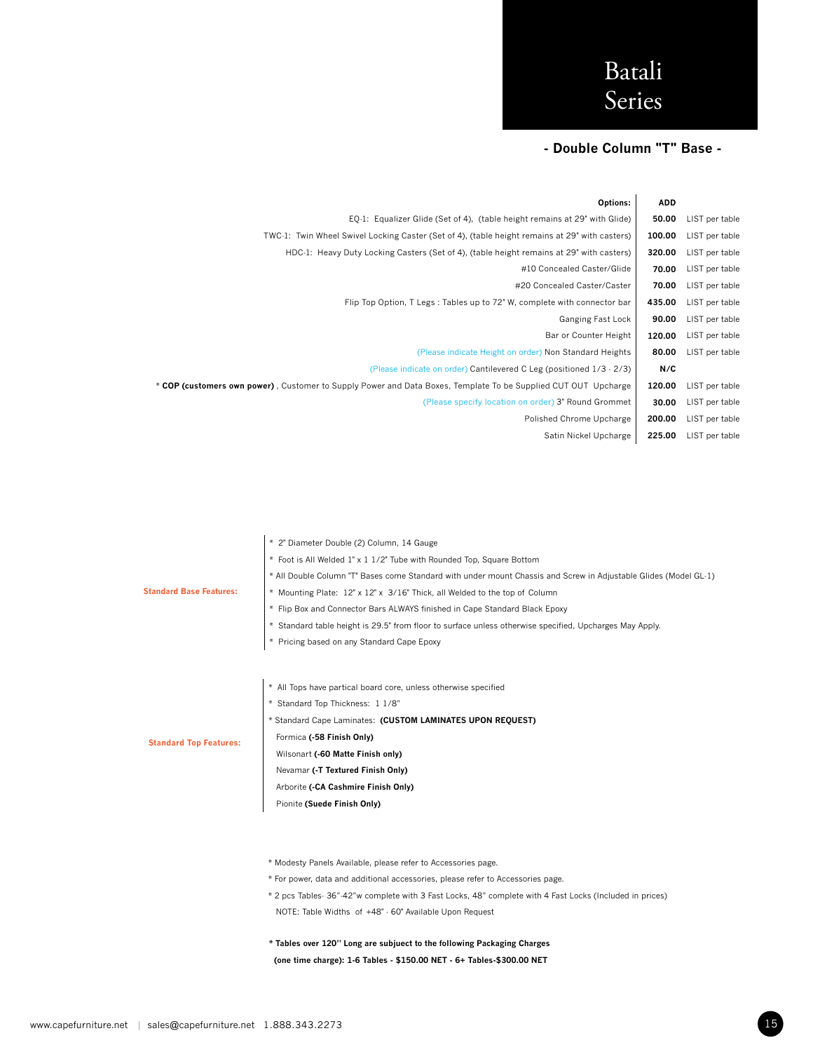## **- Double Column "T" Base -**

|                | <b>ADD</b> | Options:                                                                                                       |
|----------------|------------|----------------------------------------------------------------------------------------------------------------|
| LIST per table | 50.00      | EQ-1: Equalizer Glide (Set of 4), (table height remains at 29" with Glide)                                     |
| LIST per table | 100.00     | TWC-1: Twin Wheel Swivel Locking Caster (Set of 4), (table height remains at 29" with casters)                 |
| LIST per table | 320.00     | HDC-1: Heavy Duty Locking Casters (Set of 4), (table height remains at 29" with casters)                       |
| LIST per table | 70.00      | #10 Concealed Caster/Glide                                                                                     |
| LIST per table | 70.00      | #20 Concealed Caster/Caster                                                                                    |
| LIST per table | 435.00     | Flip Top Option, T Legs: Tables up to 72" W, complete with connector bar                                       |
| LIST per table | 90.00      | Ganging Fast Lock                                                                                              |
| LIST per table | 120.00     | Bar or Counter Height                                                                                          |
| LIST per table | 80.00      | (Please indicate Height on order) Non Standard Heights                                                         |
|                | N/C        | (Please indicate on order) Cantilevered C Leg (positioned 1/3 - 2/3)                                           |
| LIST per table | 120.00     | * COP (customers own power), Customer to Supply Power and Data Boxes, Template To be Supplied CUT OUT Upcharge |
| LIST per table | 30.00      | (Please specify location on order) 3" Round Grommet                                                            |
| LIST per table | 200.00     | Polished Chrome Upcharge                                                                                       |
| LIST per table | 225.00     | Satin Nickel Upcharge                                                                                          |
|                |            |                                                                                                                |

|                                | * 2" Diameter Double (2) Column, 14 Gauge                                                                        |
|--------------------------------|------------------------------------------------------------------------------------------------------------------|
|                                | * Foot is All Welded 1" x 1 1/2" Tube with Rounded Top, Square Bottom                                            |
|                                | * All Double Column "T" Bases come Standard with under mount Chassis and Screw in Adjustable Glides (Model GL-1) |
| <b>Standard Base Features:</b> | * Mounting Plate: 12" x 12" x 3/16" Thick, all Welded to the top of Column                                       |
|                                | * Flip Box and Connector Bars ALWAYS finished in Cape Standard Black Epoxy                                       |
|                                | * Standard table height is 29.5" from floor to surface unless otherwise specified, Upcharges May Apply.          |
|                                | * Pricing based on any Standard Cape Epoxy                                                                       |
|                                |                                                                                                                  |
|                                |                                                                                                                  |
|                                | * All Tops have partical board core, unless otherwise specified                                                  |
|                                | * Standard Top Thickness: 1 1/8"                                                                                 |
|                                | * Standard Cape Laminates: (CUSTOM LAMINATES UPON REQUEST)                                                       |
| <b>Standard Top Features:</b>  | Formica (-58 Finish Only)                                                                                        |
|                                | Wilsonart (-60 Matte Finish only)                                                                                |
|                                | Nevamar (-T Textured Finish Only)                                                                                |
|                                | Arborite (-CA Cashmire Finish Only)                                                                              |
|                                | Pionite (Suede Finish Only)                                                                                      |
|                                |                                                                                                                  |
|                                |                                                                                                                  |
|                                | * Modesty Panels Available, please refer to Accessories page.                                                    |
|                                |                                                                                                                  |
|                                | * For power, data and additional accessories, please refer to Accessories page.                                  |
|                                | * 2 pcs Tables- 36"-42"w complete with 3 Fast Locks, 48" complete with 4 Fast Locks (Included in prices)         |
|                                | NOTE: Table Widths of +48" - 60" Available Upon Request                                                          |

**\* Tables over 120" Long are subjuect to the following Packaging Charges (one time charge): 1-6 Tables - \$150.00 NET - 6+ Tables-\$300.00 NET**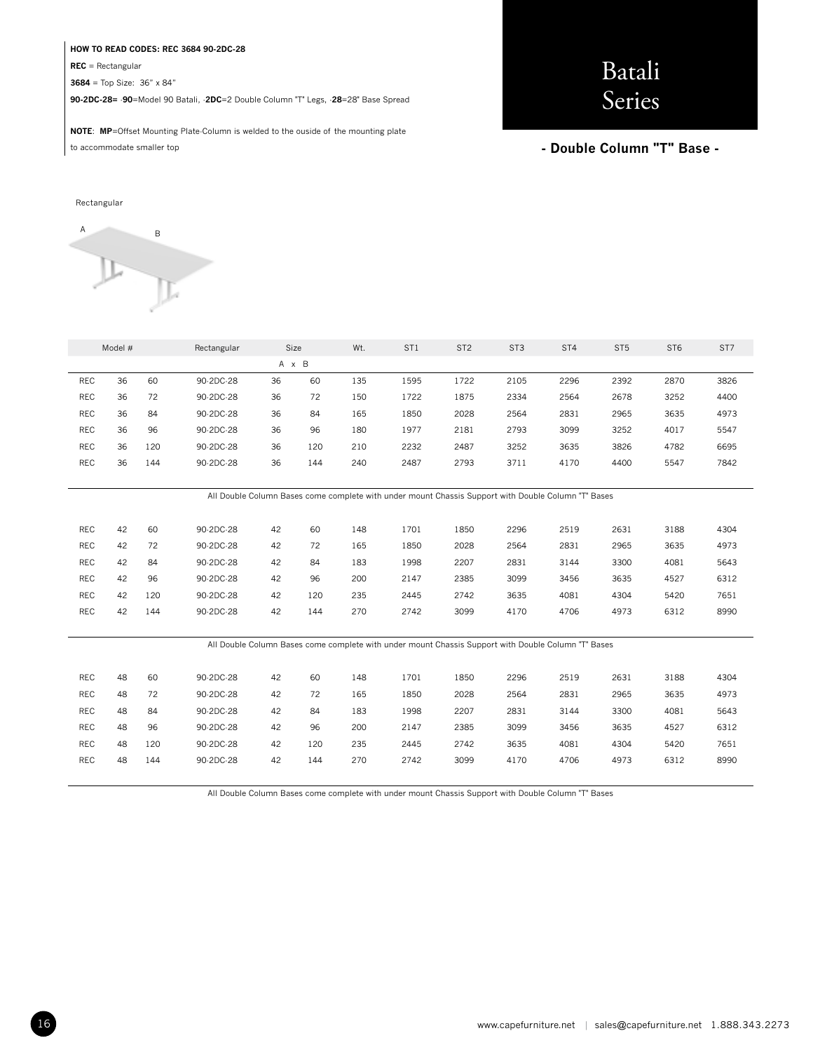#### **HOW TO READ CODES: REC 3684 90-2DC-28**

**REC** = Rectangular

**3684** = Top Size: 36" x 84"

**90-2DC-28=** -**90**=Model 90 Batali, -**2DC**=2 Double Column "T" Legs, -**28**=28" Base Spread

# Batali Series

**NOTE**: **MP**=Offset Mounting Plate-Column is welded to the ouside of the mounting plate to accommodate smaller top

#### **- Double Column "T" Base -**

#### Rectangular



|            | Model # |     | Rectangular |    | Size<br>Wt.<br>ST <sub>1</sub><br>ST <sub>2</sub><br>ST <sub>3</sub> |     | ST4                                                                                                 | ST <sub>5</sub> | ST <sub>6</sub> | ST7  |      |      |      |
|------------|---------|-----|-------------|----|----------------------------------------------------------------------|-----|-----------------------------------------------------------------------------------------------------|-----------------|-----------------|------|------|------|------|
|            | A x B   |     |             |    |                                                                      |     |                                                                                                     |                 |                 |      |      |      |      |
| REC        | 36      | 60  | 90-2DC-28   | 36 | 60                                                                   | 135 | 1595                                                                                                | 1722            | 2105            | 2296 | 2392 | 2870 | 3826 |
| <b>REC</b> | 36      | 72  | 90-2DC-28   | 36 | 72                                                                   | 150 | 1722                                                                                                | 1875            | 2334            | 2564 | 2678 | 3252 | 4400 |
| REC        | 36      | 84  | 90-2DC-28   | 36 | 84                                                                   | 165 | 1850                                                                                                | 2028            | 2564            | 2831 | 2965 | 3635 | 4973 |
| REC        | 36      | 96  | 90-2DC-28   | 36 | 96                                                                   | 180 | 1977                                                                                                | 2181            | 2793            | 3099 | 3252 | 4017 | 5547 |
| <b>REC</b> | 36      | 120 | 90-2DC-28   | 36 | 120                                                                  | 210 | 2232                                                                                                | 2487            | 3252            | 3635 | 3826 | 4782 | 6695 |
| REC        | 36      | 144 | 90-2DC-28   | 36 | 144                                                                  | 240 | 2487                                                                                                | 2793            | 3711            | 4170 | 4400 | 5547 | 7842 |
|            |         |     |             |    |                                                                      |     |                                                                                                     |                 |                 |      |      |      |      |
|            |         |     |             |    |                                                                      |     | All Double Column Bases come complete with under mount Chassis Support with Double Column "T" Bases |                 |                 |      |      |      |      |
|            |         |     |             |    |                                                                      |     |                                                                                                     |                 |                 |      |      |      |      |
| <b>REC</b> | 42      | 60  | 90-2DC-28   | 42 | 60                                                                   | 148 | 1701                                                                                                | 1850            | 2296            | 2519 | 2631 | 3188 | 4304 |
| REC        | 42      | 72  | 90-2DC-28   | 42 | 72                                                                   | 165 | 1850                                                                                                | 2028            | 2564            | 2831 | 2965 | 3635 | 4973 |
| REC        | 42      | 84  | 90-2DC-28   | 42 | 84                                                                   | 183 | 1998                                                                                                | 2207            | 2831            | 3144 | 3300 | 4081 | 5643 |
| <b>REC</b> | 42      | 96  | 90-2DC-28   | 42 | 96                                                                   | 200 | 2147                                                                                                | 2385            | 3099            | 3456 | 3635 | 4527 | 6312 |
| <b>REC</b> | 42      | 120 | 90-2DC-28   | 42 | 120                                                                  | 235 | 2445                                                                                                | 2742            | 3635            | 4081 | 4304 | 5420 | 7651 |
| REC        | 42      | 144 | 90-2DC-28   | 42 | 144                                                                  | 270 | 2742                                                                                                | 3099            | 4170            | 4706 | 4973 | 6312 | 8990 |
|            |         |     |             |    |                                                                      |     |                                                                                                     |                 |                 |      |      |      |      |
|            |         |     |             |    |                                                                      |     | All Double Column Bases come complete with under mount Chassis Support with Double Column "T" Bases |                 |                 |      |      |      |      |
|            |         |     |             |    |                                                                      |     |                                                                                                     |                 |                 |      |      |      |      |
| REC        | 48      | 60  | 90-2DC-28   | 42 | 60                                                                   | 148 | 1701                                                                                                | 1850            | 2296            | 2519 | 2631 | 3188 | 4304 |
| REC        | 48      | 72  | 90-2DC-28   | 42 | 72                                                                   | 165 | 1850                                                                                                | 2028            | 2564            | 2831 | 2965 | 3635 | 4973 |
| <b>REC</b> | 48      | 84  | 90-2DC-28   | 42 | 84                                                                   | 183 | 1998                                                                                                | 2207            | 2831            | 3144 | 3300 | 4081 | 5643 |
| REC        | 48      | 96  | 90-2DC-28   | 42 | 96                                                                   | 200 | 2147                                                                                                | 2385            | 3099            | 3456 | 3635 | 4527 | 6312 |
| REC        | 48      | 120 | 90-2DC-28   | 42 | 120                                                                  | 235 | 2445                                                                                                | 2742            | 3635            | 4081 | 4304 | 5420 | 7651 |
| <b>REC</b> | 48      | 144 | 90-2DC-28   | 42 | 144                                                                  | 270 | 2742                                                                                                | 3099            | 4170            | 4706 | 4973 | 6312 | 8990 |
|            |         |     |             |    |                                                                      |     |                                                                                                     |                 |                 |      |      |      |      |

All Double Column Bases come complete with under mount Chassis Support with Double Column "T" Bases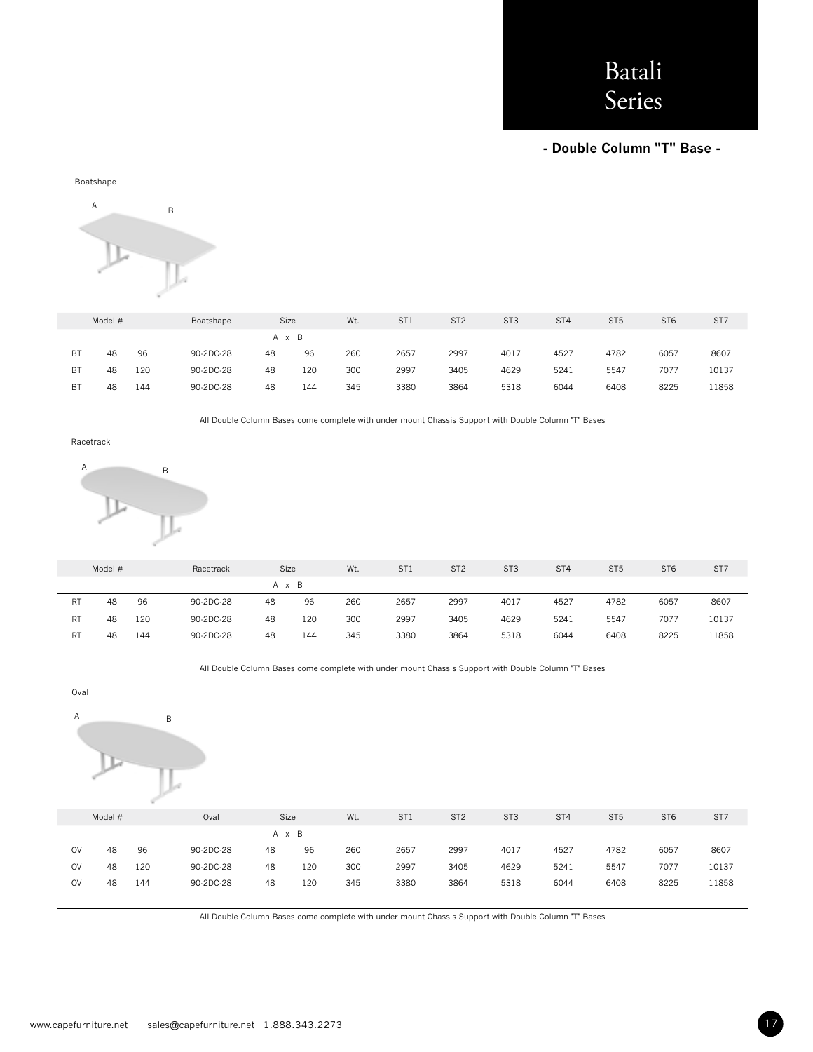### **- Double Column "T" Base -**



|           | Model # |     | Boatshape | Size  |     | Wt. | ST <sub>1</sub> | ST <sub>2</sub> | ST <sub>3</sub> | ST <sub>4</sub> | ST <sub>5</sub> | ST <sub>6</sub> | ST <sub>7</sub> |
|-----------|---------|-----|-----------|-------|-----|-----|-----------------|-----------------|-----------------|-----------------|-----------------|-----------------|-----------------|
|           |         |     |           | A x B |     |     |                 |                 |                 |                 |                 |                 |                 |
| BT        | 48      | 96  | 90-2DC-28 | 48    | 96  | 260 | 2657            | 2997            | 4017            | 4527            | 4782            | 6057            | 8607            |
| <b>BT</b> | 48      | 120 | 90-2DC-28 | 48    | 120 | 300 | 2997            | 3405            | 4629            | 5241            | 5547            | 7077            | 10137           |
| BT        | 48      | 144 | 90-2DC-28 | 48    | 144 | 345 | 3380            | 3864            | 5318            | 6044            | 6408            | 8225            | 11858           |

All Double Column Bases come complete with under mount Chassis Support with Double Column "T" Bases

Racetrack



|           | Model # | Racetrack |           | Size  |     | Wt. | ST <sub>1</sub> | ST <sub>2</sub> | ST <sub>3</sub> | ST <sub>4</sub> | ST <sub>5</sub> | ST <sub>6</sub> | ST7   |
|-----------|---------|-----------|-----------|-------|-----|-----|-----------------|-----------------|-----------------|-----------------|-----------------|-----------------|-------|
|           |         |           |           | A x B |     |     |                 |                 |                 |                 |                 |                 |       |
| <b>RT</b> | 48      | 96        | 90-2DC-28 | 48    | 96  | 260 | 2657            | 2997            | 4017            | 4527            | 4782            | 6057            | 8607  |
| <b>RT</b> | 48      | 120       | 90-2DC-28 | 48    | 120 | 300 | 2997            | 3405            | 4629            | 5241            | 5547            | 7077            | 10137 |
| RT        | 48      | 144       | 90-2DC-28 | 48    | 144 | 345 | 3380            | 3864            | 5318            | 6044            | 6408            | 8225            | 11858 |

All Double Column Bases come complete with under mount Chassis Support with Double Column "T" Bases



All Double Column Bases come complete with under mount Chassis Support with Double Column "T" Bases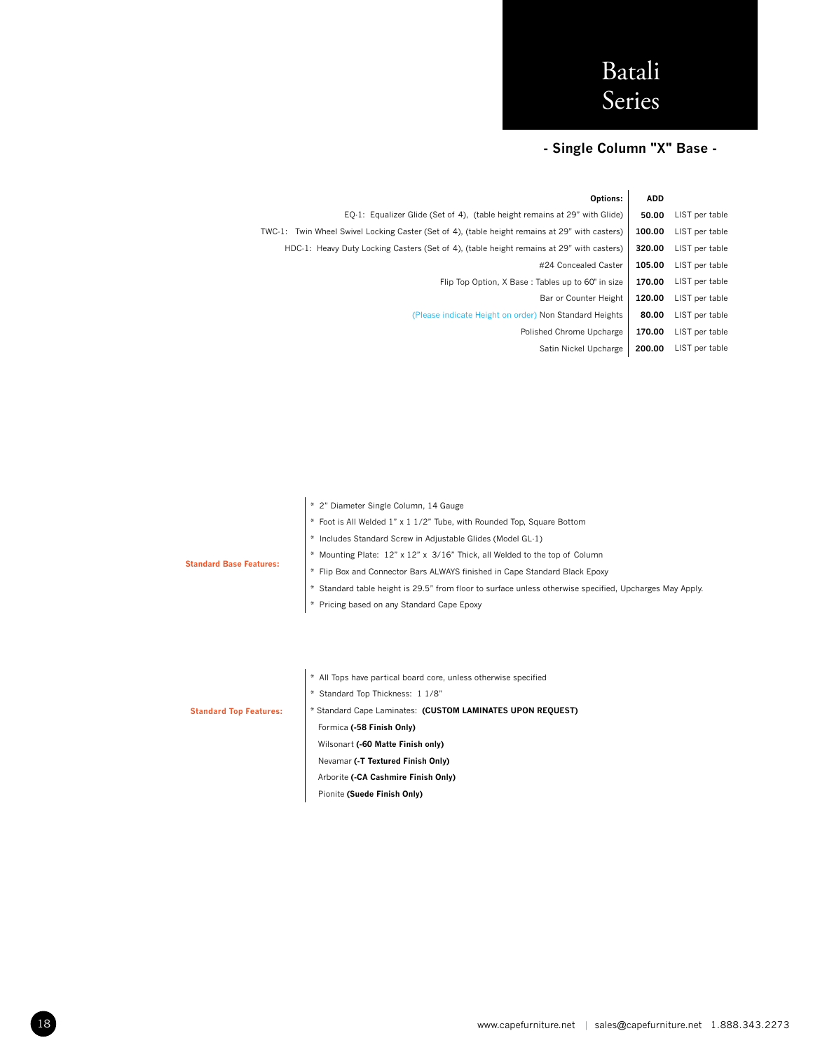### **- Single Column "X" Base -**

**Options: ADD** EQ-1: Equalizer Glide (Set of 4), (table height remains at 29" with Glide) **50.00** LIST per table TWC-1: Twin Wheel Swivel Locking Caster (Set of 4), (table height remains at 29" with casters) **100.00** LIST per table HDC-1: Heavy Duty Locking Casters (Set of 4), (table height remains at 29" with casters) **320.00** LIST per table #24 Concealed Caster **105.00** LIST per table Flip Top Option, X Base : Tables up to 60" in size **170.00** LIST per table Bar or Counter Height **120.00** LIST per table (Please indicate Height on order) Non Standard Heights **80.00** LIST per table Polished Chrome Upcharge **170.00** LIST per table Satin Nickel Upcharge **200.00** LIST per table

|                                | * 2" Diameter Single Column, 14 Gauge                                                                   |
|--------------------------------|---------------------------------------------------------------------------------------------------------|
|                                | * Foot is All Welded 1" x 1 1/2" Tube, with Rounded Top, Square Bottom                                  |
|                                | * Includes Standard Screw in Adjustable Glides (Model GL-1)                                             |
|                                | * Mounting Plate: 12" x 12" x 3/16" Thick, all Welded to the top of Column                              |
| <b>Standard Base Features:</b> | * Flip Box and Connector Bars ALWAYS finished in Cape Standard Black Epoxy                              |
|                                | * Standard table height is 29.5" from floor to surface unless otherwise specified, Upcharges May Apply. |
|                                | * Pricing based on any Standard Cape Epoxy                                                              |
|                                |                                                                                                         |
|                                |                                                                                                         |
|                                |                                                                                                         |
|                                | * All Tops have partical board core, unless otherwise specified                                         |
|                                |                                                                                                         |
|                                | Standard Top Thickness: 1 1/8"                                                                          |
|                                |                                                                                                         |

#### **Standard Top Features:**

\* Standard Cape Laminates: **(CUSTOM LAMINATES UPON REQUEST)** Formica **(-58 Finish Only)** Wilsonart **(-60 Matte Finish only)** Nevamar **(-T Textured Finish Only)** Arborite **(-CA Cashmire Finish Only)**

Pionite **(Suede Finish Only)**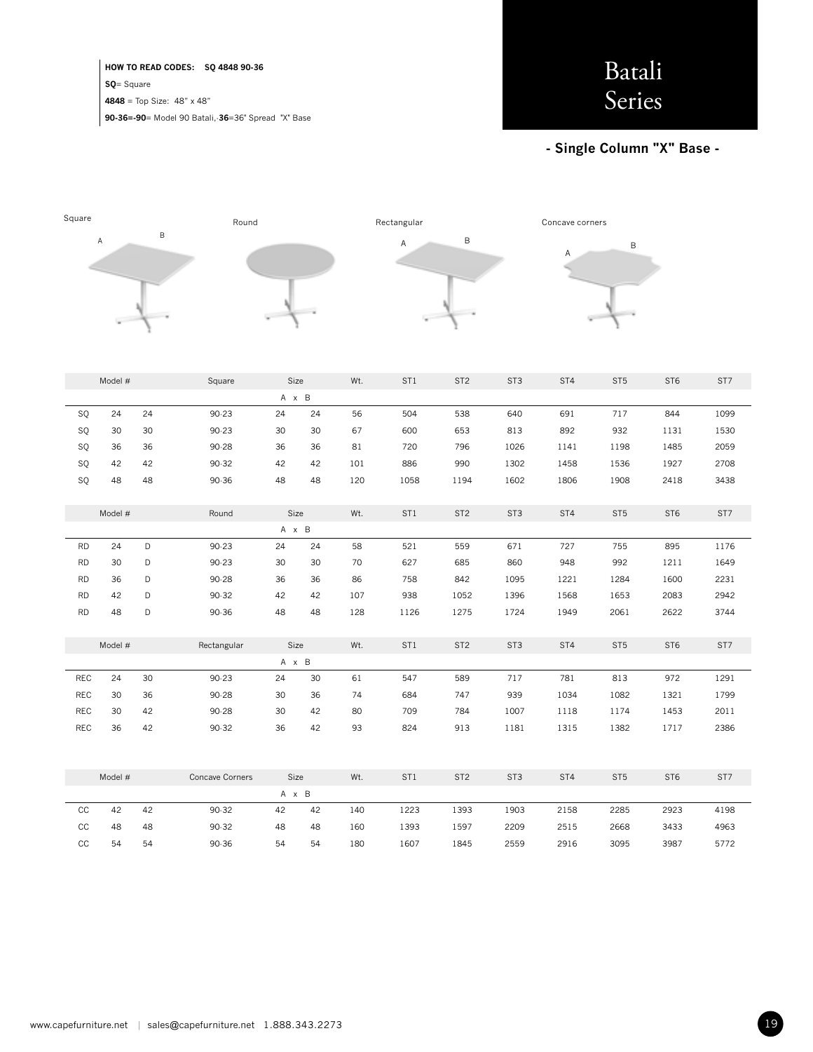**HOW TO READ CODES: SQ 4848 90-36 SQ**= Square

**4848** = Top Size: 48" x 48"

**90-36=-90**= Model 90 Batali,-**36**=36" Spread "X" Base

### **- Single Column "X" Base -**



|             | Model # |    | Square          | Size  |    | Wt. | ST1  | ST <sub>2</sub> | ST <sub>3</sub> | ST4  | ST <sub>5</sub> | ST <sub>6</sub> | ST7  |
|-------------|---------|----|-----------------|-------|----|-----|------|-----------------|-----------------|------|-----------------|-----------------|------|
|             |         |    |                 | A x B |    |     |      |                 |                 |      |                 |                 |      |
| SQ          | 24      | 24 | $90 - 23$       | 24    | 24 | 56  | 504  | 538             | 640             | 691  | 717             | 844             | 1099 |
| SQ          | 30      | 30 | $90 - 23$       | 30    | 30 | 67  | 600  | 653             | 813             | 892  | 932             | 1131            | 1530 |
| SQ          | 36      | 36 | $90 - 28$       | 36    | 36 | 81  | 720  | 796             | 1026            | 1141 | 1198            | 1485            | 2059 |
| SQ          | 42      | 42 | $90 - 32$       | 42    | 42 | 101 | 886  | 990             | 1302            | 1458 | 1536            | 1927            | 2708 |
| SQ          | 48      | 48 | $90 - 36$       | 48    | 48 | 120 | 1058 | 1194            | 1602            | 1806 | 1908            | 2418            | 3438 |
|             |         |    |                 |       |    |     |      |                 |                 |      |                 |                 |      |
|             | Model # |    | Round           | Size  |    | Wt. | ST1  | ST <sub>2</sub> | ST <sub>3</sub> | ST4  | ST <sub>5</sub> | ST <sub>6</sub> | ST7  |
|             |         |    |                 | A x B |    |     |      |                 |                 |      |                 |                 |      |
| <b>RD</b>   | 24      | D  | $90 - 23$       | 24    | 24 | 58  | 521  | 559             | 671             | 727  | 755             | 895             | 1176 |
| <b>RD</b>   | 30      | D  | $90 - 23$       | 30    | 30 | 70  | 627  | 685             | 860             | 948  | 992             | 1211            | 1649 |
| <b>RD</b>   | 36      | D  | 90-28           | 36    | 36 | 86  | 758  | 842             | 1095            | 1221 | 1284            | 1600            | 2231 |
| <b>RD</b>   | 42      | D  | $90 - 32$       | 42    | 42 | 107 | 938  | 1052            | 1396            | 1568 | 1653            | 2083            | 2942 |
| <b>RD</b>   | 48      | D  | 90.36           | 48    | 48 | 128 | 1126 | 1275            | 1724            | 1949 | 2061            | 2622            | 3744 |
|             |         |    |                 |       |    |     |      |                 |                 |      |                 |                 |      |
|             | Model # |    | Rectangular     | Size  |    | Wt. | ST1  | ST <sub>2</sub> | ST <sub>3</sub> | ST4  | ST <sub>5</sub> | ST <sub>6</sub> | ST7  |
|             |         |    |                 | A x B |    |     |      |                 |                 |      |                 |                 |      |
| REC         | 24      | 30 | $90 - 23$       | 24    | 30 | 61  | 547  | 589             | 717             | 781  | 813             | 972             | 1291 |
| <b>REC</b>  | 30      | 36 | 90-28           | 30    | 36 | 74  | 684  | 747             | 939             | 1034 | 1082            | 1321            | 1799 |
| <b>REC</b>  | 30      | 42 | $90 - 28$       | 30    | 42 | 80  | 709  | 784             | 1007            | 1118 | 1174            | 1453            | 2011 |
| <b>REC</b>  | 36      | 42 | $90 - 32$       | 36    | 42 | 93  | 824  | 913             | 1181            | 1315 | 1382            | 1717            | 2386 |
|             |         |    |                 |       |    |     |      |                 |                 |      |                 |                 |      |
|             |         |    |                 |       |    |     |      |                 |                 |      |                 |                 |      |
|             | Model # |    | Concave Corners | Size  |    | Wt. | ST1  | ST <sub>2</sub> | ST <sub>3</sub> | ST4  | ST <sub>5</sub> | ST <sub>6</sub> | ST7  |
|             |         |    |                 |       |    |     |      |                 |                 |      |                 |                 |      |
|             |         |    |                 | A x B |    |     |      |                 |                 |      |                 |                 |      |
| CC          | 42      | 42 | 90.32           | 42    | 42 | 140 | 1223 | 1393            | 1903            | 2158 | 2285            | 2923            | 4198 |
| $_{\rm CC}$ | 48      | 48 | $90 - 32$       | 48    | 48 | 160 | 1393 | 1597            | 2209            | 2515 | 2668            | 3433            | 4963 |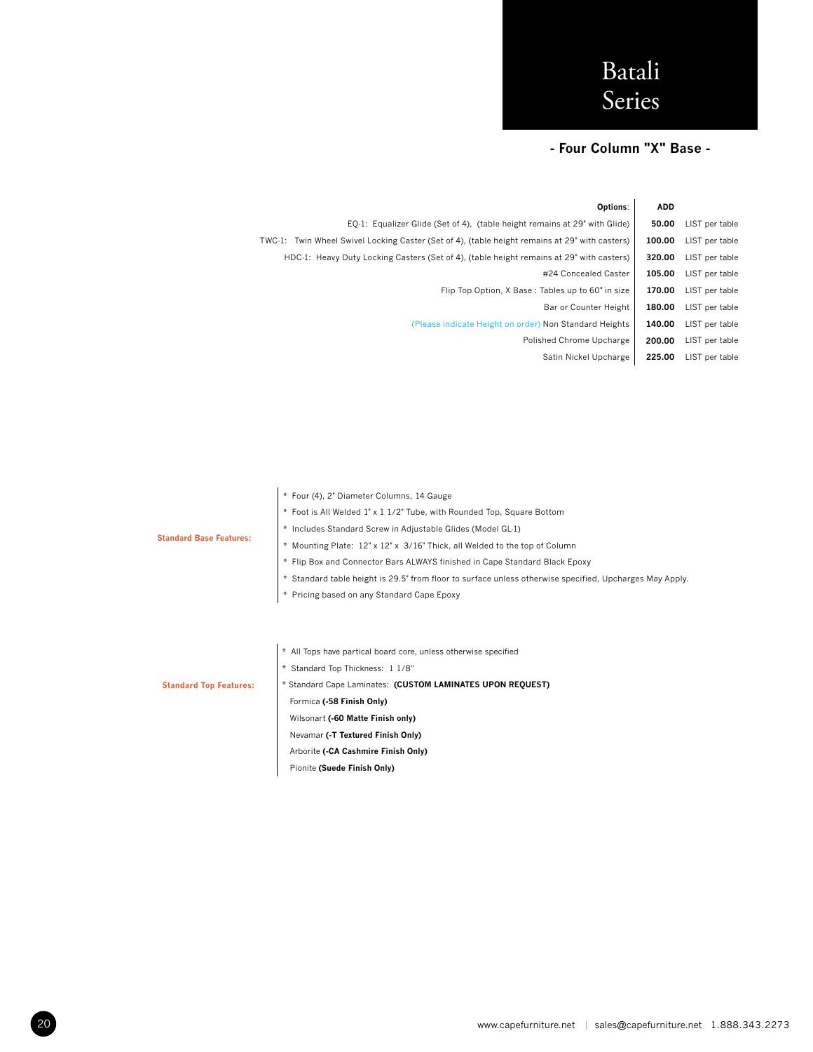### **- Four Column "X" Base -**

|                | <b>ADD</b> | Options:                                                                                       |
|----------------|------------|------------------------------------------------------------------------------------------------|
| LIST per table | 50.00      | EQ-1: Equalizer Glide (Set of 4), (table height remains at 29" with Glide)                     |
| LIST per table | 100.00     | TWC-1: Twin Wheel Swivel Locking Caster (Set of 4), (table height remains at 29" with casters) |
| LIST per table | 320.00     | HDC-1: Heavy Duty Locking Casters (Set of 4), (table height remains at 29" with casters)       |
| LIST per table | 105.00     | #24 Concealed Caster                                                                           |
| LIST per table | 170.00     | Flip Top Option, X Base: Tables up to 60" in size                                              |
| LIST per table | 180.00     | Bar or Counter Height                                                                          |
| LIST per table | 140.00     | (Please indicate Height on order) Non Standard Heights                                         |
| LIST per table | 200.00     | Polished Chrome Upcharge                                                                       |
| LIST per table | 225.00     | Satin Nickel Upcharge                                                                          |
|                |            |                                                                                                |

|                                | * Four (4), 2" Diameter Columns, 14 Gauge                                                               |  |  |  |  |  |  |  |  |
|--------------------------------|---------------------------------------------------------------------------------------------------------|--|--|--|--|--|--|--|--|
|                                | * Foot is All Welded 1" x 1 1/2" Tube, with Rounded Top, Square Bottom                                  |  |  |  |  |  |  |  |  |
|                                | * Includes Standard Screw in Adjustable Glides (Model GL-1)                                             |  |  |  |  |  |  |  |  |
| <b>Standard Base Features:</b> | * Mounting Plate: 12" x 12" x 3/16" Thick, all Welded to the top of Column                              |  |  |  |  |  |  |  |  |
|                                | * Flip Box and Connector Bars ALWAYS finished in Cape Standard Black Epoxy                              |  |  |  |  |  |  |  |  |
|                                | * Standard table height is 29.5" from floor to surface unless otherwise specified, Upcharges May Apply. |  |  |  |  |  |  |  |  |
|                                | * Pricing based on any Standard Cape Epoxy                                                              |  |  |  |  |  |  |  |  |
|                                |                                                                                                         |  |  |  |  |  |  |  |  |
|                                |                                                                                                         |  |  |  |  |  |  |  |  |
|                                | * All Tops have partical board core, unless otherwise specified                                         |  |  |  |  |  |  |  |  |
|                                | * Standard Top Thickness: 1 1/8"                                                                        |  |  |  |  |  |  |  |  |
| <b>Standard Top Features:</b>  | * Standard Cape Laminates: (CUSTOM LAMINATES UPON REQUEST)                                              |  |  |  |  |  |  |  |  |
|                                | Formica (-58 Finish Only)                                                                               |  |  |  |  |  |  |  |  |
|                                | Wilsonart (-60 Matte Finish only)                                                                       |  |  |  |  |  |  |  |  |
|                                | Nevamar (-T Textured Finish Only)                                                                       |  |  |  |  |  |  |  |  |

 Arborite **(-CA Cashmire Finish Only)** Pionite **(Suede Finish Only)**